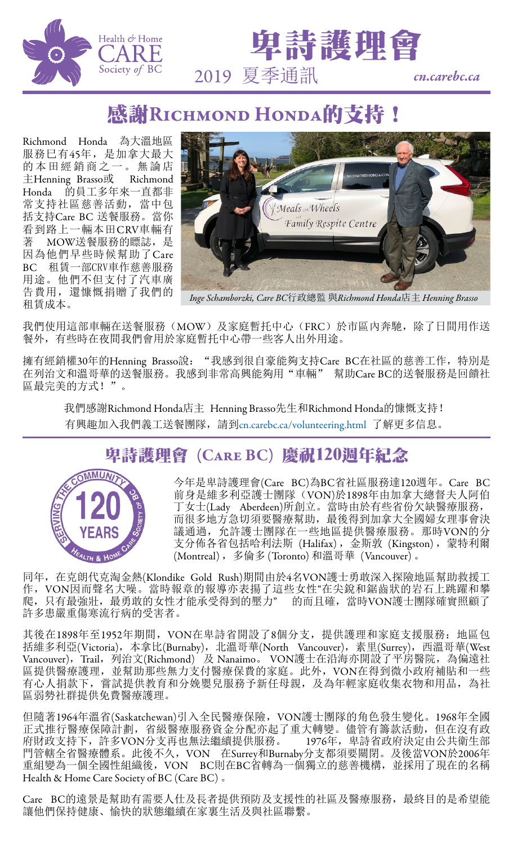



## 感謝RICHMOND HONDA的支持!

Richmond Honda 為大溫地區 服務巳有45年,是加拿大最大 的本田經銷商之一。無論店 主Henning Brasso或 Richmond Honda 的員工多年來一直都非 常支持社區慈善活動,當中包 括支持Care BC 送餐服務。當你 看到路上一輛本田CRV車輛有<br>著 MOW送餐服務的膘誌, 是 MOW送餐服務的瞟誌, 是 因為他們早些時候幫助了Care BC 租賃一部CRV車作慈善服務 用途。他們不但支付了汽車廣 告費用,還慷慨捐贈了我們的 租賃成本。



*Inge Schamborzki, Care BC*行政總監 與*Richmond Honda*店主 *Henning Brasso*

我們使用這部車輛在送餐服務(MOW)及家庭暫托中心(FRC)於市區內奔馳,除了日間用作送 餐外,有些時在夜間我們會用於家庭暫托中心帶一些客人出外用途。

擁有經銷權30年的Henning Brasso說: "我感到很自豪能夠支持Care BC在社區的慈善工作,特別是 在列治文和溫哥華的送餐服務。我感到非常高興能夠用"車輛" 幫助Care BC的送餐服務是回饋社 區最完美的方式!"。

我們感謝Richmond Honda店主 Henning Brasso先生和Richmond Honda的慷慨支持! 有興趣加入我們義工送餐團隊,請到<cn.carebc.ca/volunteering.html> 了解更多信息。

## 卑詩護理會 (Care BC) 慶祝120週年紀念



今年是卑詩護理會(Care BC)為BC省社區服務達120週年。Care BC 前身是維多利亞護士團隊(VON)於1898年由加拿大總督夫人阿伯 丁女士(Lady Aberdeen)所創立。當時由於有些省份欠缺醫療服務, 而很多地方急切須要醫療幫助,最後得到加拿大全國婦女理事會決 議通過,允許護士團隊在一些地區提供醫療服務。那時VON的分  $\overline{\mathcal{F}}$ 分佈各省包括哈利法斯 (Halifax), 金斯敦 (Kingston), 蒙特利爾 (Montreal) ,多倫多 (Toronto) 和溫哥華 (Vancouver) 。

同年,在克朗代克淘金熱(Klondike Gold Rush)期間由於4名VON護士勇敢深入探險地區幫助救援工 作,VON因而聲名大噪。當時報章的報導亦表揚了這些女性"在尖銳和鋸齒狀的岩石上跳躍和攀 爬,只有最強壯,最勇敢的女性才能承受得到的壓力" 的而且確,當時VON護士團隊確實照顧了 許多患嚴重傷寒流行病的受害者。

其後在1898年至1952年期間, VON在卑詩省開設了8個分支, 提供護理和家庭支援服務: 地區包 括維多利亞(Victoria),本拿比(Burnaby),北溫哥華(North Vancouver),素里(Surrey),西溫哥華(West) Vancouver),Trail,列治文(Richmond) 及 Nanaimo。 VON護士在沿海亦開設了平房醫院,為偏遠社 區提供醫療護理,並幫助那些無力支付醫療保費的家庭。此外,VON在得到微小政府補貼和一些 有心人捐款下, 嘗試提供教育和分娩嬰兒服務予新任母親, 及為年輕家庭收集衣物和用品, 為社 區弱勢社群提供免費醫療護理。

但隨著1964年溫省(Saskatchewan)引入全民醫療保險,VON護士團隊的角色發生變化。1968年全國 正式推行醫療保障計劃,省級醫療服務資金分配亦起了重大轉變。儘管有籌款活動,但在沒有政 府財政支持下,許多VON分支再也無法繼續提供服務。 1976年,卑詩省政府決定由公共衛生部 門管轄全省醫療體系。此後不久, VON 在Surrey和Burnaby分支都須要關閉。及後當VON於2006年 重組變為一個全國性組織後,VON BC則在BC省轉為一個獨立的慈善機構,並採用了現在的名稱 Health & Home Care Society of BC (Care BC) 。

Care BC的遠景是幫助有需要人仕及長者提供預防及支援性的社區及醫療服務,最終目的是希望能 讓他們保持健康、愉快的狀態繼續在家裏生活及與社區聯繫。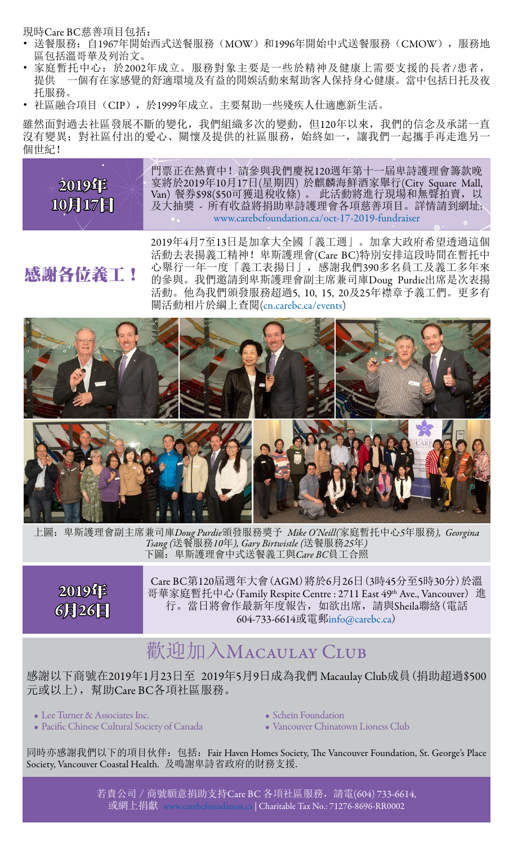現時Care BC慈善項目包括:

- 送餐服務: 自1967年開始西式送餐服務(MOW)和1996年開始中式送餐服務(CMOW), 服務地 區包括溫哥華及列治文。
- 家庭暫托中心:於2002年成立。服務對象主要是一些於精神及健康上需要支援的長者/患者,<br>提供 一個有在家感覺的舒適環境及有益的閒娛活動來幫助客人保持身心健康。當中包括日托及? 提供 一個有在家感覺的舒適環境及有益的閒娛活動來幫助客人保持身心健康。當中包括日托及夜 托服務。
- 社區融合項目(CIP),於1999年成立。主要幫助一些殘疾人仕適應新生活。

雖然面對過去社區發展不斷的變化,我們組織多次的變動,但120年以來,我們的信念及承諾一直 沒有變異;對社區付出的愛心、關懷及提供的社區服務,始終如一,讓我們一起攜手再走進另一 個世紀!



門票正在熱賣中!請參與我們慶祝120週年第十一屆卑詩護理會籌款晚 宴將於2019年10月17日(星期四) 於麒麟海鮮酒家舉行(City Square Mall, Van) 餐券\$98(\$50可獲退稅收條) 。 此活動將進行現場和無聲拍賣,以 及大抽獎 - 所有收益將捐助卑詩護理會各項慈善項目。詳情請到網址: <www.carebcfoundation.ca/oct-17-2019-fundraiser>

## 感謝各位義工!

2019年4月7至13日是加拿大全國「義工週」。加拿大政府希望透過這個 活動去表揚義工精神! 卑斯護理會(Care BC)特別安排這段時間在暫托中 心舉行一年一度「義工表揚日」,感謝我們390多名員工及義工多年來 的參與。我們邀請到卑斯護理會副主席兼司庫Doug Purdie出席是次表揚 活動。他為我們頒發服務超過5, 10, 15, 20及25年襟章予義工們。更多有 關活動相片於綱上查閱[\(cn.carebc.ca/events](cn.carebc.ca/events))



上圖:卑斯護理會副主席兼司庫*Doug Purdie*頒發服務獎予 *Mike O'Neill(*家庭暫托中心*5*年服務*), Georgina Tsang (*送餐服務*10*年*), Gary Birtwistle (*送餐服務*25*年*)* 下圖:卑斯護理會中式送餐義工與*Care BC*員工合照



Care BC第120屆週年大會(AGM)將於6月26日(3時45分至5時30分)於溫 哥華家庭暫托中心(Family Respite Centre : 2711 East 49th Ave., Vancouver) 進 行。當日將會作最新年度報告,如欲出席,請與Sheila聯絡(電話 604-733-6614或電郵[info@carebc.ca](mailto:info%40carebc.ca?subject=))

## 歡迎加入MACAULAY CLUB

感謝以下商號在2019年1月23日至 2019年5月9日成為我們 Macaulay Club成員(捐助超過\$500 元或以上),幫助Care BC各項社區服務。

• Lee Turner & Associates Inc.

- Pacific Chinese Cultural Society of Canada
- Schein Foundation
- Vancouver Chinatown Lioness Club

同時亦感謝我們以下的項目伙伴: 包括: Fair Haven Homes Society, The Vancouver Foundation, St. George's Place Society, Vancouver Coastal Health. 及鳴謝卑詩省政府的財務支援.

> 若貴公司 / 商號願意捐助支持Care BC 各項社區服務, 請電(604) 733-6614, 或網上捐獻 [www.carebcfoundation.ca](https://www.carebcfoundation.ca) | Charitable Tax No.: 71276-8696-RR0002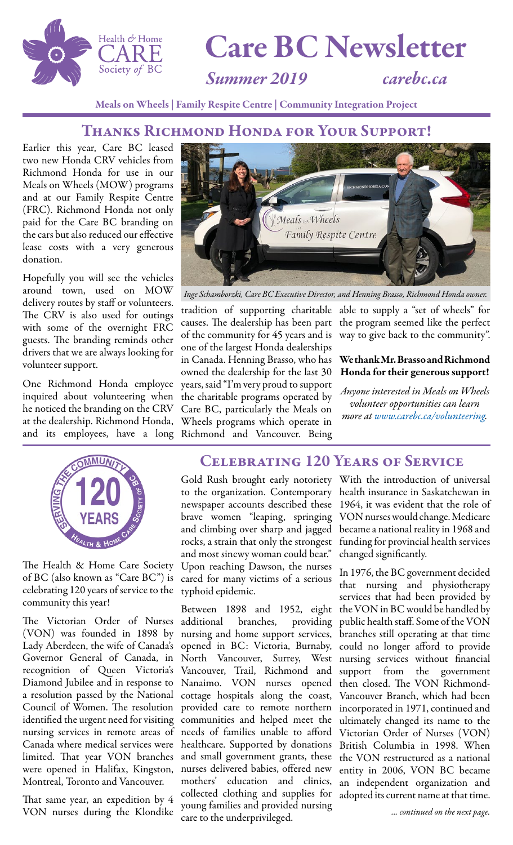

# Care BC Newsletter

*Summer 2019 carebc.ca*

Meals on Wheels | Family Respite Centre | Community Integration Project

#### Thanks Richmond Honda for Your Support!

Earlier this year, Care BC leased two new Honda CRV vehicles from Richmond Honda for use in our Meals on Wheels (MOW) programs and at our Family Respite Centre (FRC). Richmond Honda not only paid for the Care BC branding on the cars but also reduced our effective lease costs with a very generous donation.

Hopefully you will see the vehicles around town, used on MOW delivery routes by staff or volunteers. The CRV is also used for outings with some of the overnight FRC guests. The branding reminds other drivers that we are always looking for volunteer support.

One Richmond Honda employee inquired about volunteering when he noticed the branding on the CRV at the dealership. Richmond Honda, and its employees, have a long Richmond and Vancouver. Being



The Health & Home Care Society of BC (also known as "Care BC") is celebrating 120 years of service to the typhoid epidemic. community this year!

The Victorian Order of Nurses additional branches, providing (VON) was founded in 1898 by nursing and home support services, Governor General of Canada, in North Vancouver, Surrey, West recognition of Queen Victoria's Vancouver, Trail, Richmond and Diamond Jubilee and in response to Nanaimo. VON nurses opened identified the urgent need for visiting communities and helped meet the Montreal, Toronto and Vancouver.

That same year, an expedition by 4 VON nurses during the Klondike



*Inge Schamborzki, Care BC Executive Director, and Henning Brasso, Richmond Honda owner.*

tradition of supporting charitable able to supply a "set of wheels" for causes. The dealership has been part the program seemed like the perfect of the community for 45 years and is way to give back to the community". one of the largest Honda dealerships in Canada. Henning Brasso, who has owned the dealership for the last 30 years, said "I'm very proud to support the charitable programs operated by Care BC, particularly the Meals on Wheels programs which operate in

#### We thank Mr. Brasso and Richmond Honda for their generous support!

*Anyone interested in Meals on Wheels volunteer opportunities can learn more at [www.carebc.ca/volunteering.](https://www.carebc.ca/volunteering)*

### Celebrating 120 Years of Service

brave women "leaping, springing and climbing over sharp and jagged rocks, a strain that only the strongest and most sinewy woman could bear." Upon reaching Dawson, the nurses cared for many victims of a serious

Lady Aberdeen, the wife of Canada's opened in BC: Victoria, Burnaby, could no longer afford to provide a resolution passed by the National cottage hospitals along the coast, Vancouver Branch, which had been Council of Women. The resolution provided care to remote northern incorporated in 1971, continued and nursing services in remote areas of needs of families unable to afford Victorian Order of Nurses (VON) Canada where medical services were healthcare. Supported by donations British Columbia in 1998. When limited. That year VON branches and small government grants, these the VON restructured as a national were opened in Halifax, Kingston, nurses delivered babies, offered new entity in 2006, VON BC became Between 1898 and 1952, eight the VON in BC would be handled by mothers' education and clinics, an independent organization and collected clothing and supplies for adopted its current name at that time. young families and provided nursing care to the underprivileged.

Gold Rush brought early notoriety With the introduction of universal to the organization. Contemporary health insurance in Saskatchewan in newspaper accounts described these 1964, it was evident that the role of VON nurses would change. Medicare became a national reality in 1968 and funding for provincial health services changed significantly.

> In 1976, the BC government decided that nursing and physiotherapy services that had been provided by providing public health staff. Some of the VON branches still operating at that time nursing services without financial<br>support from the government the government then closed. The VON Richmondultimately changed its name to the

> > *... continued on the next page.*